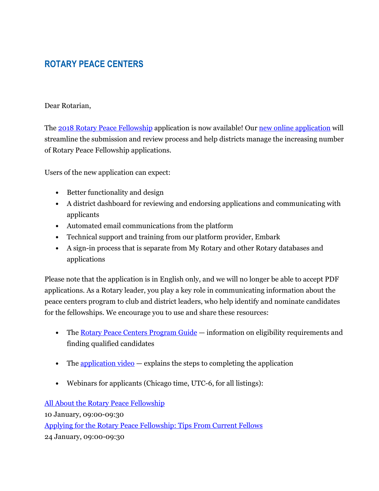## **ROTARY PEACE CENTERS**

## Dear Rotarian,

The 2018 Rotary Peace Fellowship application is now available! Our new online application will streamline the submission and review process and help districts manage the increasing number of Rotary Peace Fellowship applications.

Users of the new application can expect:

- Better functionality and design
- A district dashboard for reviewing and endorsing applications and communicating with applicants
- Automated email communications from the platform
- Technical support and training from our platform provider, Embark
- A sign-in process that is separate from My Rotary and other Rotary databases and applications

Please note that the application is in English only, and we will no longer be able to accept PDF applications. As a Rotary leader, you play a key role in communicating information about the peace centers program to club and district leaders, who help identify and nominate candidates for the fellowships. We encourage you to use and share these resources:

- The Rotary Peace Centers Program Guide information on eligibility requirements and finding qualified candidates
- The application video  $-\epsilon$  explains the steps to completing the application
- Webinars for applicants (Chicago time, UTC-6, for all listings):

All About the Rotary Peace Fellowship

10 January, 09:00-09:30

Applying for the Rotary Peace Fellowship: Tips From Current Fellows

24 January, 09:00-09:30